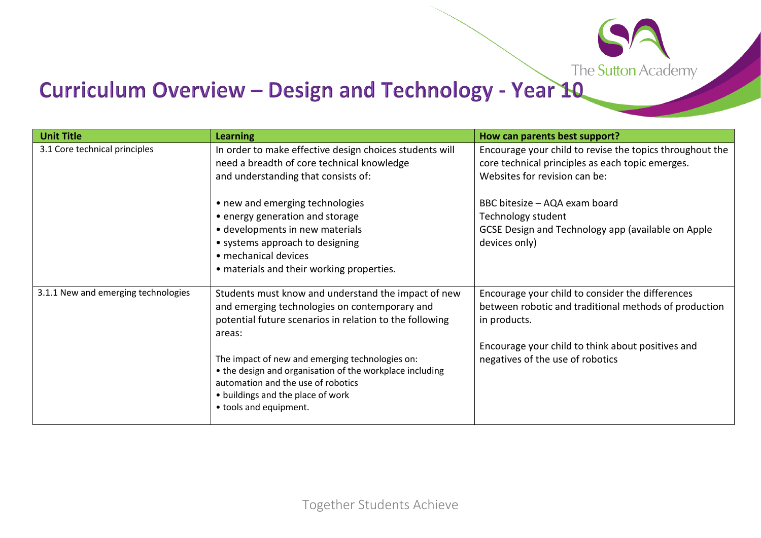

## Curriculum Overview - Design and Technology - Year 10

| <b>Unit Title</b>                   | <b>Learning</b>                                                                                                                                                                                                                                                                                                                | How can parents best support?                                                                                                                                                                                      |
|-------------------------------------|--------------------------------------------------------------------------------------------------------------------------------------------------------------------------------------------------------------------------------------------------------------------------------------------------------------------------------|--------------------------------------------------------------------------------------------------------------------------------------------------------------------------------------------------------------------|
| 3.1 Core technical principles       | In order to make effective design choices students will<br>need a breadth of core technical knowledge<br>and understanding that consists of:                                                                                                                                                                                   | Encourage your child to revise the topics throughout the<br>core technical principles as each topic emerges.<br>Websites for revision can be:                                                                      |
|                                     | • new and emerging technologies<br>• energy generation and storage<br>· developments in new materials<br>• systems approach to designing<br>• mechanical devices<br>• materials and their working properties.                                                                                                                  | BBC bitesize - AQA exam board<br>Technology student<br>GCSE Design and Technology app (available on Apple<br>devices only)                                                                                         |
| 3.1.1 New and emerging technologies | Students must know and understand the impact of new<br>and emerging technologies on contemporary and<br>potential future scenarios in relation to the following<br>areas:<br>The impact of new and emerging technologies on:<br>• the design and organisation of the workplace including<br>automation and the use of robotics | Encourage your child to consider the differences<br>between robotic and traditional methods of production<br>in products.<br>Encourage your child to think about positives and<br>negatives of the use of robotics |
|                                     | • buildings and the place of work<br>• tools and equipment.                                                                                                                                                                                                                                                                    |                                                                                                                                                                                                                    |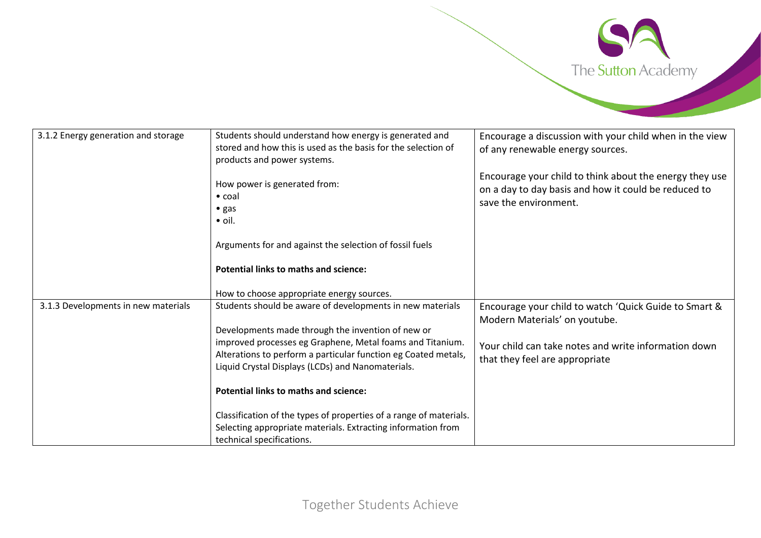

| 3.1.2 Energy generation and storage | Students should understand how energy is generated and<br>stored and how this is used as the basis for the selection of<br>products and power systems.                           | Encourage a discussion with your child when in the view<br>of any renewable energy sources.                                              |
|-------------------------------------|----------------------------------------------------------------------------------------------------------------------------------------------------------------------------------|------------------------------------------------------------------------------------------------------------------------------------------|
|                                     | How power is generated from:<br>$\bullet$ coal<br>• gas<br>$\bullet$ oil.                                                                                                        | Encourage your child to think about the energy they use<br>on a day to day basis and how it could be reduced to<br>save the environment. |
|                                     | Arguments for and against the selection of fossil fuels                                                                                                                          |                                                                                                                                          |
|                                     | <b>Potential links to maths and science:</b>                                                                                                                                     |                                                                                                                                          |
|                                     | How to choose appropriate energy sources.                                                                                                                                        |                                                                                                                                          |
| 3.1.3 Developments in new materials | Students should be aware of developments in new materials                                                                                                                        | Encourage your child to watch 'Quick Guide to Smart &<br>Modern Materials' on youtube.                                                   |
|                                     | Developments made through the invention of new or                                                                                                                                |                                                                                                                                          |
|                                     | improved processes eg Graphene, Metal foams and Titanium.<br>Alterations to perform a particular function eg Coated metals,<br>Liquid Crystal Displays (LCDs) and Nanomaterials. | Your child can take notes and write information down<br>that they feel are appropriate                                                   |
|                                     | <b>Potential links to maths and science:</b>                                                                                                                                     |                                                                                                                                          |
|                                     | Classification of the types of properties of a range of materials.<br>Selecting appropriate materials. Extracting information from<br>technical specifications.                  |                                                                                                                                          |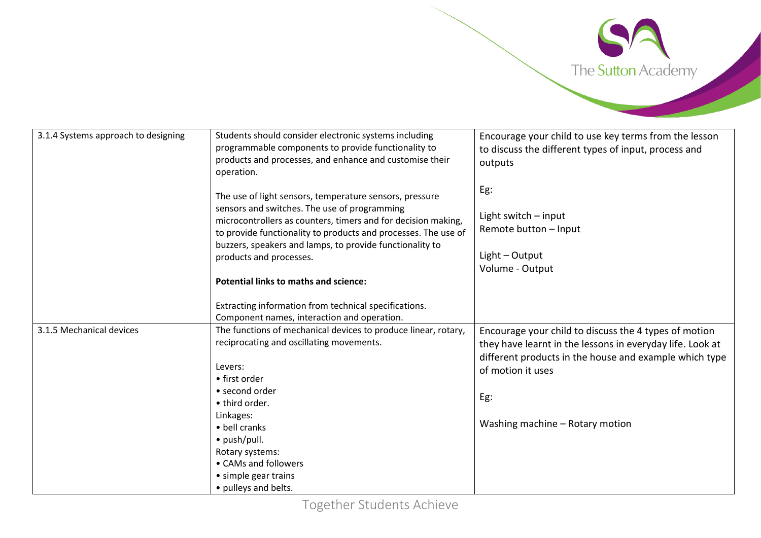

| 3.1.4 Systems approach to designing | Students should consider electronic systems including<br>programmable components to provide functionality to<br>products and processes, and enhance and customise their                                                                                                                                                                                                                         | Encourage your child to use key terms from the lesson<br>to discuss the different types of input, process and<br>outputs                                                                                                                    |
|-------------------------------------|-------------------------------------------------------------------------------------------------------------------------------------------------------------------------------------------------------------------------------------------------------------------------------------------------------------------------------------------------------------------------------------------------|---------------------------------------------------------------------------------------------------------------------------------------------------------------------------------------------------------------------------------------------|
|                                     | operation.<br>The use of light sensors, temperature sensors, pressure<br>sensors and switches. The use of programming<br>microcontrollers as counters, timers and for decision making,<br>to provide functionality to products and processes. The use of<br>buzzers, speakers and lamps, to provide functionality to<br>products and processes.<br><b>Potential links to maths and science:</b> | Eg:<br>Light switch $-$ input<br>Remote button - Input<br>$Light - Output$<br>Volume - Output                                                                                                                                               |
|                                     | Extracting information from technical specifications.<br>Component names, interaction and operation.                                                                                                                                                                                                                                                                                            |                                                                                                                                                                                                                                             |
| 3.1.5 Mechanical devices            | The functions of mechanical devices to produce linear, rotary,<br>reciprocating and oscillating movements.<br>Levers:<br>• first order<br>• second order<br>• third order.<br>Linkages:<br>• bell cranks<br>• push/pull.<br>Rotary systems:<br>• CAMs and followers<br>• simple gear trains<br>• pulleys and belts.                                                                             | Encourage your child to discuss the 4 types of motion<br>they have learnt in the lessons in everyday life. Look at<br>different products in the house and example which type<br>of motion it uses<br>Eg:<br>Washing machine - Rotary motion |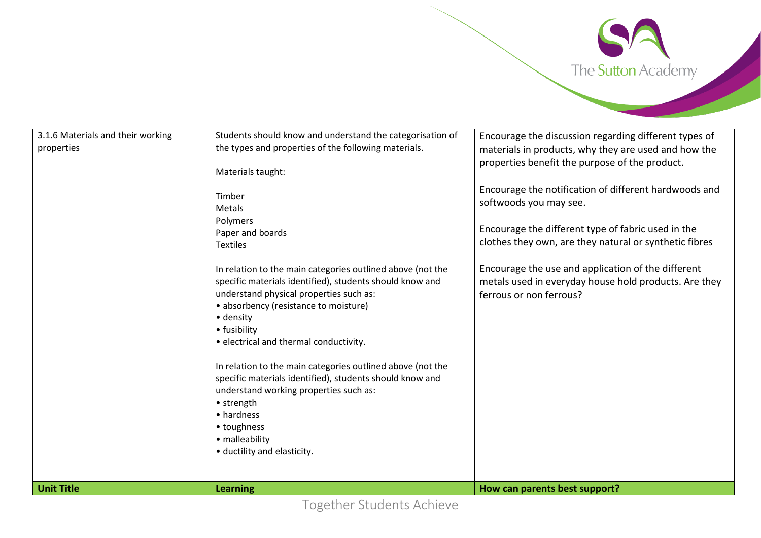

| 3.1.6 Materials and their working<br>properties | Students should know and understand the categorisation of<br>the types and properties of the following materials.<br>Materials taught:<br>Timber<br><b>Metals</b><br>Polymers<br>Paper and boards<br><b>Textiles</b><br>In relation to the main categories outlined above (not the<br>specific materials identified), students should know and<br>understand physical properties such as:<br>• absorbency (resistance to moisture)<br>· density<br>• fusibility<br>· electrical and thermal conductivity.<br>In relation to the main categories outlined above (not the<br>specific materials identified), students should know and<br>understand working properties such as:<br>• strength<br>• hardness<br>• toughness<br>• malleability<br>· ductility and elasticity. | Encourage the discussion regarding different types of<br>materials in products, why they are used and how the<br>properties benefit the purpose of the product.<br>Encourage the notification of different hardwoods and<br>softwoods you may see.<br>Encourage the different type of fabric used in the<br>clothes they own, are they natural or synthetic fibres<br>Encourage the use and application of the different<br>metals used in everyday house hold products. Are they<br>ferrous or non ferrous? |
|-------------------------------------------------|---------------------------------------------------------------------------------------------------------------------------------------------------------------------------------------------------------------------------------------------------------------------------------------------------------------------------------------------------------------------------------------------------------------------------------------------------------------------------------------------------------------------------------------------------------------------------------------------------------------------------------------------------------------------------------------------------------------------------------------------------------------------------|--------------------------------------------------------------------------------------------------------------------------------------------------------------------------------------------------------------------------------------------------------------------------------------------------------------------------------------------------------------------------------------------------------------------------------------------------------------------------------------------------------------|
| <b>Unit Title</b>                               | <b>Learning</b>                                                                                                                                                                                                                                                                                                                                                                                                                                                                                                                                                                                                                                                                                                                                                           | How can parents best support?                                                                                                                                                                                                                                                                                                                                                                                                                                                                                |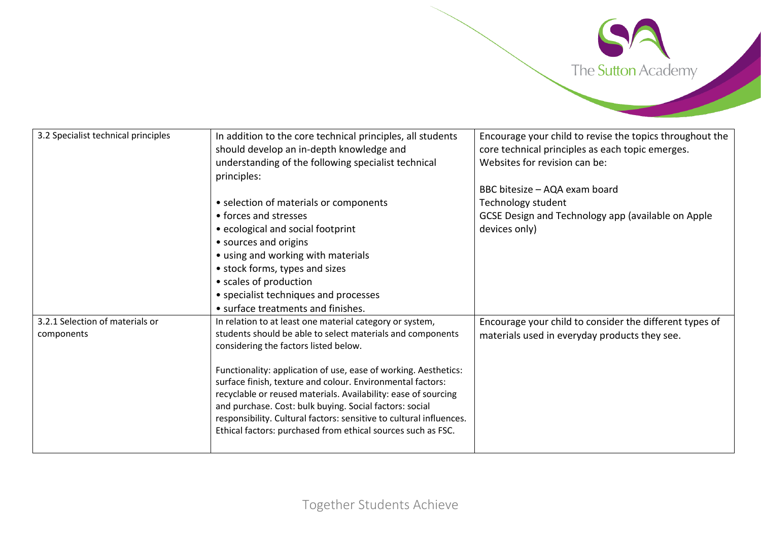

| 3.2 Specialist technical principles | In addition to the core technical principles, all students                                                                | Encourage your child to revise the topics throughout the |
|-------------------------------------|---------------------------------------------------------------------------------------------------------------------------|----------------------------------------------------------|
|                                     | should develop an in-depth knowledge and                                                                                  | core technical principles as each topic emerges.         |
|                                     | understanding of the following specialist technical                                                                       | Websites for revision can be:                            |
|                                     | principles:                                                                                                               |                                                          |
|                                     |                                                                                                                           | BBC bitesize - AQA exam board                            |
|                                     | • selection of materials or components                                                                                    | Technology student                                       |
|                                     | • forces and stresses                                                                                                     | GCSE Design and Technology app (available on Apple       |
|                                     | • ecological and social footprint                                                                                         | devices only)                                            |
|                                     | • sources and origins                                                                                                     |                                                          |
|                                     | • using and working with materials                                                                                        |                                                          |
|                                     | • stock forms, types and sizes                                                                                            |                                                          |
|                                     | • scales of production                                                                                                    |                                                          |
|                                     | • specialist techniques and processes                                                                                     |                                                          |
|                                     | • surface treatments and finishes.                                                                                        |                                                          |
| 3.2.1 Selection of materials or     | In relation to at least one material category or system,                                                                  | Encourage your child to consider the different types of  |
| components                          | students should be able to select materials and components                                                                | materials used in everyday products they see.            |
|                                     | considering the factors listed below.                                                                                     |                                                          |
|                                     |                                                                                                                           |                                                          |
|                                     | Functionality: application of use, ease of working. Aesthetics:                                                           |                                                          |
|                                     | surface finish, texture and colour. Environmental factors:                                                                |                                                          |
|                                     | recyclable or reused materials. Availability: ease of sourcing<br>and purchase. Cost: bulk buying. Social factors: social |                                                          |
|                                     | responsibility. Cultural factors: sensitive to cultural influences.                                                       |                                                          |
|                                     | Ethical factors: purchased from ethical sources such as FSC.                                                              |                                                          |
|                                     |                                                                                                                           |                                                          |
|                                     |                                                                                                                           |                                                          |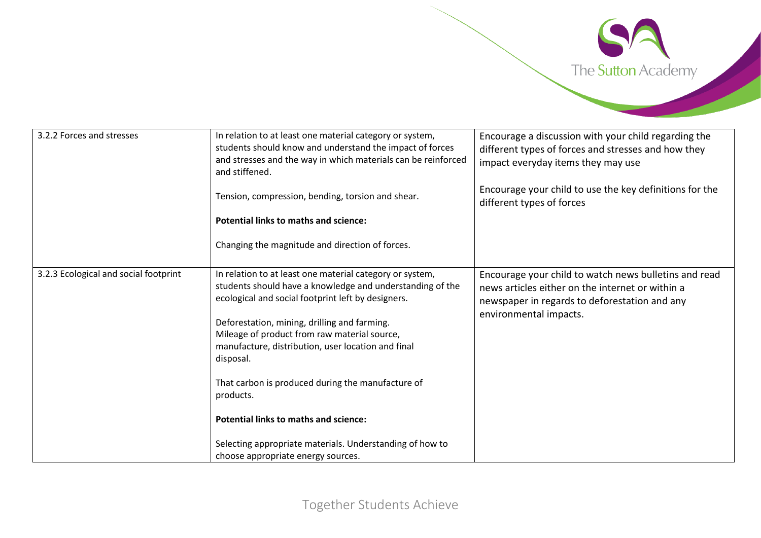

| 3.2.2 Forces and stresses             | In relation to at least one material category or system,<br>students should know and understand the impact of forces<br>and stresses and the way in which materials can be reinforced<br>and stiffened. | Encourage a discussion with your child regarding the<br>different types of forces and stresses and how they<br>impact everyday items they may use          |
|---------------------------------------|---------------------------------------------------------------------------------------------------------------------------------------------------------------------------------------------------------|------------------------------------------------------------------------------------------------------------------------------------------------------------|
|                                       | Tension, compression, bending, torsion and shear.                                                                                                                                                       | Encourage your child to use the key definitions for the<br>different types of forces                                                                       |
|                                       | <b>Potential links to maths and science:</b>                                                                                                                                                            |                                                                                                                                                            |
|                                       | Changing the magnitude and direction of forces.                                                                                                                                                         |                                                                                                                                                            |
| 3.2.3 Ecological and social footprint | In relation to at least one material category or system,<br>students should have a knowledge and understanding of the<br>ecological and social footprint left by designers.                             | Encourage your child to watch news bulletins and read<br>news articles either on the internet or within a<br>newspaper in regards to deforestation and any |
|                                       | Deforestation, mining, drilling and farming.<br>Mileage of product from raw material source,<br>manufacture, distribution, user location and final<br>disposal.                                         | environmental impacts.                                                                                                                                     |
|                                       | That carbon is produced during the manufacture of<br>products.                                                                                                                                          |                                                                                                                                                            |
|                                       | <b>Potential links to maths and science:</b>                                                                                                                                                            |                                                                                                                                                            |
|                                       | Selecting appropriate materials. Understanding of how to<br>choose appropriate energy sources.                                                                                                          |                                                                                                                                                            |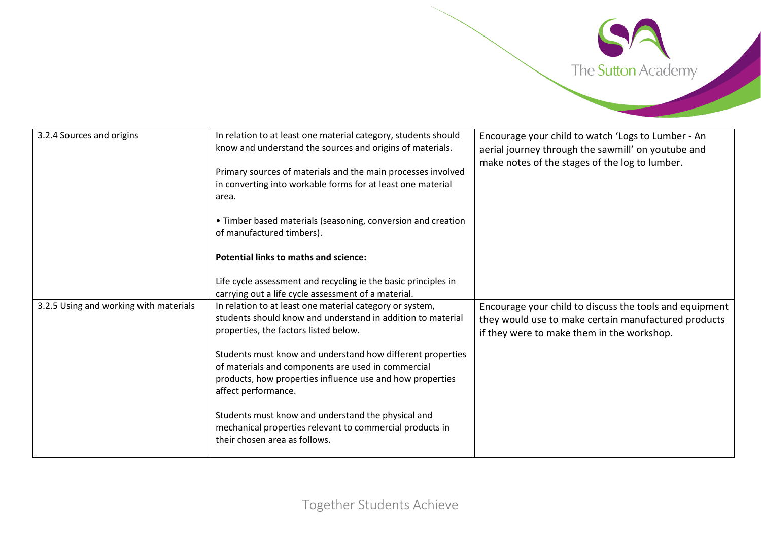

| 3.2.4 Sources and origins              | In relation to at least one material category, students should | Encourage your child to watch 'Logs to Lumber - An      |
|----------------------------------------|----------------------------------------------------------------|---------------------------------------------------------|
|                                        | know and understand the sources and origins of materials.      | aerial journey through the sawmill' on youtube and      |
|                                        |                                                                | make notes of the stages of the log to lumber.          |
|                                        | Primary sources of materials and the main processes involved   |                                                         |
|                                        | in converting into workable forms for at least one material    |                                                         |
|                                        | area.                                                          |                                                         |
|                                        |                                                                |                                                         |
|                                        | • Timber based materials (seasoning, conversion and creation   |                                                         |
|                                        | of manufactured timbers).                                      |                                                         |
|                                        |                                                                |                                                         |
|                                        | <b>Potential links to maths and science:</b>                   |                                                         |
|                                        |                                                                |                                                         |
|                                        | Life cycle assessment and recycling ie the basic principles in |                                                         |
|                                        | carrying out a life cycle assessment of a material.            |                                                         |
| 3.2.5 Using and working with materials | In relation to at least one material category or system,       |                                                         |
|                                        | students should know and understand in addition to material    | Encourage your child to discuss the tools and equipment |
|                                        |                                                                | they would use to make certain manufactured products    |
|                                        | properties, the factors listed below.                          | if they were to make them in the workshop.              |
|                                        |                                                                |                                                         |
|                                        | Students must know and understand how different properties     |                                                         |
|                                        | of materials and components are used in commercial             |                                                         |
|                                        | products, how properties influence use and how properties      |                                                         |
|                                        | affect performance.                                            |                                                         |
|                                        |                                                                |                                                         |
|                                        | Students must know and understand the physical and             |                                                         |
|                                        | mechanical properties relevant to commercial products in       |                                                         |
|                                        | their chosen area as follows.                                  |                                                         |
|                                        |                                                                |                                                         |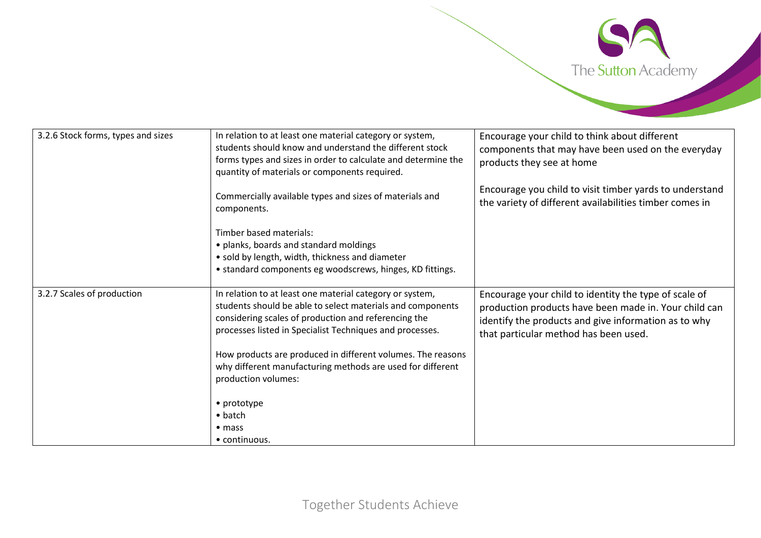

| 3.2.6 Stock forms, types and sizes | In relation to at least one material category or system,<br>students should know and understand the different stock<br>forms types and sizes in order to calculate and determine the<br>quantity of materials or components required.      | Encourage your child to think about different<br>components that may have been used on the everyday<br>products they see at home                                                                                |
|------------------------------------|--------------------------------------------------------------------------------------------------------------------------------------------------------------------------------------------------------------------------------------------|-----------------------------------------------------------------------------------------------------------------------------------------------------------------------------------------------------------------|
|                                    | Commercially available types and sizes of materials and<br>components.                                                                                                                                                                     | Encourage you child to visit timber yards to understand<br>the variety of different availabilities timber comes in                                                                                              |
|                                    | Timber based materials:<br>• planks, boards and standard moldings<br>• sold by length, width, thickness and diameter<br>• standard components eg woodscrews, hinges, KD fittings.                                                          |                                                                                                                                                                                                                 |
| 3.2.7 Scales of production         | In relation to at least one material category or system,<br>students should be able to select materials and components<br>considering scales of production and referencing the<br>processes listed in Specialist Techniques and processes. | Encourage your child to identity the type of scale of<br>production products have been made in. Your child can<br>identify the products and give information as to why<br>that particular method has been used. |
|                                    | How products are produced in different volumes. The reasons<br>why different manufacturing methods are used for different<br>production volumes:                                                                                           |                                                                                                                                                                                                                 |
|                                    | • prototype                                                                                                                                                                                                                                |                                                                                                                                                                                                                 |
|                                    | $\bullet$ batch                                                                                                                                                                                                                            |                                                                                                                                                                                                                 |
|                                    | $\bullet$ mass                                                                                                                                                                                                                             |                                                                                                                                                                                                                 |
|                                    | $\bullet$ continuous.                                                                                                                                                                                                                      |                                                                                                                                                                                                                 |